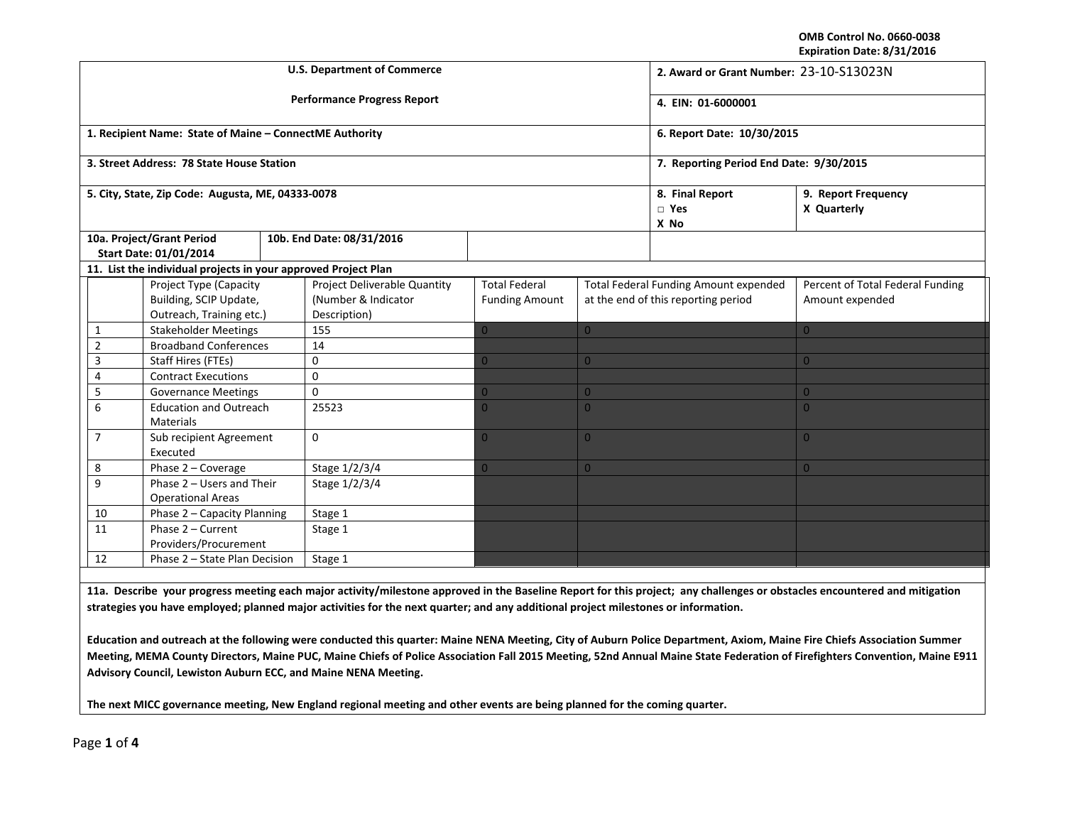**OMB Control No. 0660‐0038 Expiration Date: 8/31/2016**

|                                                            |                                                   |                                                                              |          | <b>U.S. Department of Commerce</b>                                  | 2. Award or Grant Number: 23-10-S13023N       |                                                                                     |                |                                                                                                                                                                            |  |
|------------------------------------------------------------|---------------------------------------------------|------------------------------------------------------------------------------|----------|---------------------------------------------------------------------|-----------------------------------------------|-------------------------------------------------------------------------------------|----------------|----------------------------------------------------------------------------------------------------------------------------------------------------------------------------|--|
|                                                            |                                                   |                                                                              |          | <b>Performance Progress Report</b>                                  | 4. EIN: 01-6000001                            |                                                                                     |                |                                                                                                                                                                            |  |
|                                                            |                                                   | 1. Recipient Name: State of Maine - ConnectME Authority                      |          |                                                                     | 6. Report Date: 10/30/2015                    |                                                                                     |                |                                                                                                                                                                            |  |
|                                                            |                                                   | 3. Street Address: 78 State House Station                                    |          |                                                                     | 7. Reporting Period End Date: 9/30/2015       |                                                                                     |                |                                                                                                                                                                            |  |
|                                                            |                                                   | 5. City, State, Zip Code: Augusta, ME, 04333-0078                            |          |                                                                     | 8. Final Report<br>$\Box$ Yes<br>X No         | 9. Report Frequency<br>X Quarterly                                                  |                |                                                                                                                                                                            |  |
| 10a. Project/Grant Period<br>Start Date: 01/01/2014        |                                                   |                                                                              |          | 10b. End Date: 08/31/2016                                           |                                               |                                                                                     |                |                                                                                                                                                                            |  |
|                                                            |                                                   | 11. List the individual projects in your approved Project Plan               |          |                                                                     |                                               |                                                                                     |                |                                                                                                                                                                            |  |
|                                                            |                                                   | Project Type (Capacity<br>Building, SCIP Update,<br>Outreach, Training etc.) |          | Project Deliverable Quantity<br>(Number & Indicator<br>Description) | <b>Total Federal</b><br><b>Funding Amount</b> | <b>Total Federal Funding Amount expended</b><br>at the end of this reporting period |                | Percent of Total Federal Funding<br>Amount expended                                                                                                                        |  |
| 1                                                          |                                                   | <b>Stakeholder Meetings</b>                                                  |          | 155                                                                 | $\Omega$                                      | $\overline{0}$                                                                      |                | $\overline{0}$                                                                                                                                                             |  |
| $\overline{2}$                                             |                                                   | <b>Broadband Conferences</b>                                                 |          | 14                                                                  |                                               |                                                                                     |                |                                                                                                                                                                            |  |
| 3                                                          |                                                   | Staff Hires (FTEs)                                                           |          | 0                                                                   | $\overline{0}$                                | $\overline{0}$                                                                      |                | $\overline{0}$                                                                                                                                                             |  |
| 4                                                          |                                                   | <b>Contract Executions</b>                                                   |          | $\mathbf 0$                                                         |                                               |                                                                                     |                |                                                                                                                                                                            |  |
| 5                                                          |                                                   | <b>Governance Meetings</b>                                                   |          | $\Omega$                                                            | $\overline{0}$                                | $\overline{0}$                                                                      |                | $\overline{0}$                                                                                                                                                             |  |
| 6                                                          | <b>Education and Outreach</b><br><b>Materials</b> |                                                                              |          | 25523                                                               | $\Omega$                                      | $\overline{0}$                                                                      |                | $\overline{0}$                                                                                                                                                             |  |
| $\overline{7}$                                             | Sub recipient Agreement<br>Executed               |                                                                              | $\Omega$ | $\overline{0}$                                                      | $\overline{0}$                                |                                                                                     | $\overline{0}$ |                                                                                                                                                                            |  |
| 8                                                          | Phase 2 - Coverage                                |                                                                              |          | Stage 1/2/3/4                                                       | $\Omega$                                      | $\overline{0}$                                                                      |                | $\overline{0}$                                                                                                                                                             |  |
| 9<br>Phase 2 - Users and Their<br><b>Operational Areas</b> |                                                   | Stage 1/2/3/4                                                                |          |                                                                     |                                               |                                                                                     |                |                                                                                                                                                                            |  |
|                                                            | 10<br>Phase 2 - Capacity Planning                 |                                                                              | Stage 1  |                                                                     |                                               |                                                                                     |                |                                                                                                                                                                            |  |
| 11<br>Phase 2 - Current<br>Providers/Procurement           |                                                   | Stage 1                                                                      |          |                                                                     |                                               |                                                                                     |                |                                                                                                                                                                            |  |
| 12<br>Phase 2 - State Plan Decision                        |                                                   | Stage 1                                                                      |          |                                                                     |                                               |                                                                                     |                |                                                                                                                                                                            |  |
|                                                            |                                                   |                                                                              |          |                                                                     |                                               |                                                                                     |                |                                                                                                                                                                            |  |
|                                                            |                                                   |                                                                              |          |                                                                     |                                               |                                                                                     |                | 11a. Describe your progress meeting each major activity/milestone approved in the Baseline Report for this project; any challenges or obstacles encountered and mitigation |  |

strategies you have employed; planned major activities for the next quarter; and any additional project milestones or information.

Education and outreach at the following were conducted this quarter: Maine NENA Meeting, City of Auburn Police Department, Axiom, Maine Fire Chiefs Association Summer Meeting, MEMA County Directors, Maine PUC, Maine Chiefs of Police Association Fall 2015 Meeting, 52nd Annual Maine State Federation of Firefighters Convention, Maine E911 **Advisory Council, Lewiston Auburn ECC, and Maine NENA Meeting.**

The next MICC governance meeting, New England regional meeting and other events are being planned for the coming quarter.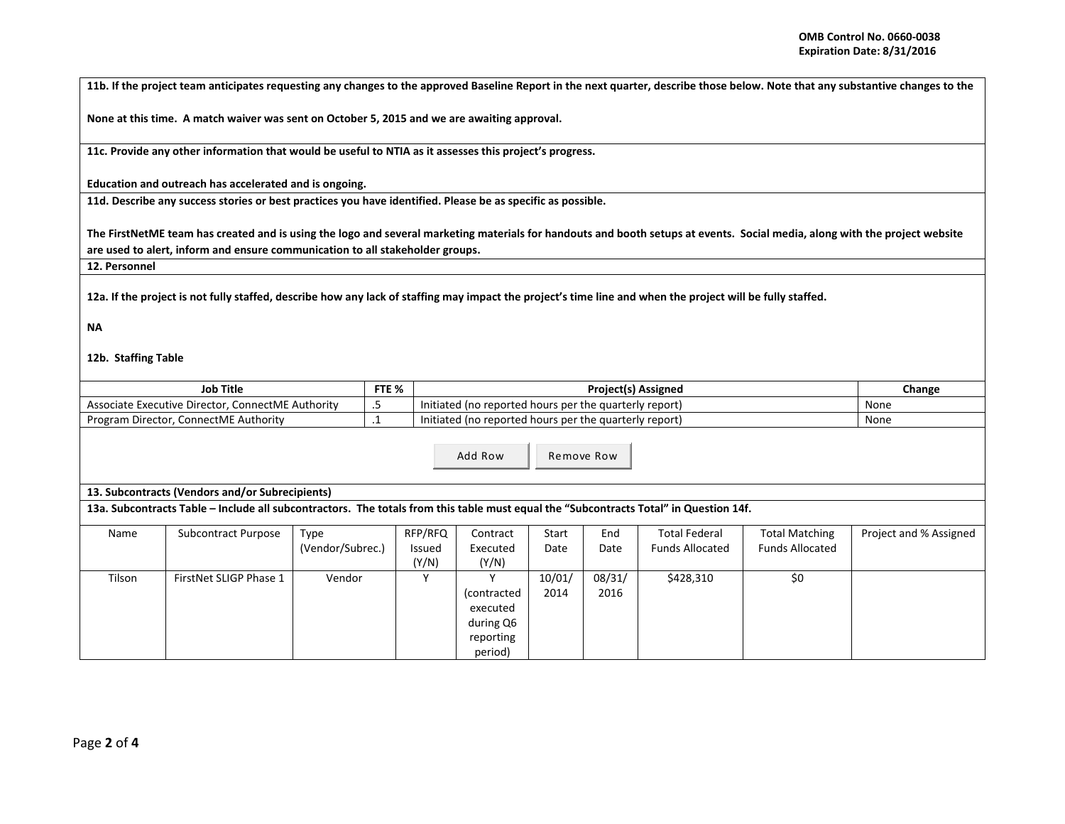11b. If the project team anticipates requesting any changes to the approved Baseline Report in the next quarter, describe those below. Note that any substantive changes to the

**None at this time. A match waiver was sent on October 5, 2015 and we are awaiting approval.**

**11c. Provide any other information that would be useful to NTIA as it assesses this project's progress.**

**Education and outreach has accelerated and is ongoing.**

11d. Describe any success stories or best practices you have identified. Please be as specific as possible.

The FirstNetME team has created and is using the logo and several marketing materials for handouts and booth setups at events. Social media, along with the project website **are used to alert, inform and ensure communication to all stakeholder groups.**

**12. Personnel**

12a. If the project is not fully staffed, describe how any lack of staffing may impact the project's time line and when the project will be fully staffed.

## **NA**

## **12b. Staffing Table**

| Job Title                                         |     | <b>Project(s) Assigned</b>                             | Change |
|---------------------------------------------------|-----|--------------------------------------------------------|--------|
| Associate Executive Director, ConnectME Authority | ر.  | Initiated (no reported hours per the quarterly report) | None   |
| Program Director, ConnectME Authority             | . . | Initiated (no reported hours per the quarterly report) | None   |

Add Row

Remove Row

|  | 13. Subcontracts (Vendors and/or Subrecipients) |
|--|-------------------------------------------------|
|--|-------------------------------------------------|

13a. Subcontracts Table – Include all subcontractors. The totals from this table must equal the "Subcontracts Total" in Question 14f.

| Name   | Subcontract Purpose    | Type             | RFP/RFQ | Contract    | Start  | End    | <b>Total Federal</b>   | <b>Total Matching</b>  | Project and % Assigned |
|--------|------------------------|------------------|---------|-------------|--------|--------|------------------------|------------------------|------------------------|
|        |                        | (Vendor/Subrec.) | Issued  | Executed    | Date   | Date   | <b>Funds Allocated</b> | <b>Funds Allocated</b> |                        |
|        |                        |                  | (Y/N)   | (Y/N)       |        |        |                        |                        |                        |
| Tilson | FirstNet SLIGP Phase 1 | Vendor           |         |             | 10/01/ | 08/31/ | \$428,310              | \$0                    |                        |
|        |                        |                  |         | (contracted | 2014   | 2016   |                        |                        |                        |
|        |                        |                  |         | executed    |        |        |                        |                        |                        |
|        |                        |                  |         | during Q6   |        |        |                        |                        |                        |
|        |                        |                  |         | reporting   |        |        |                        |                        |                        |
|        |                        |                  |         | period)     |        |        |                        |                        |                        |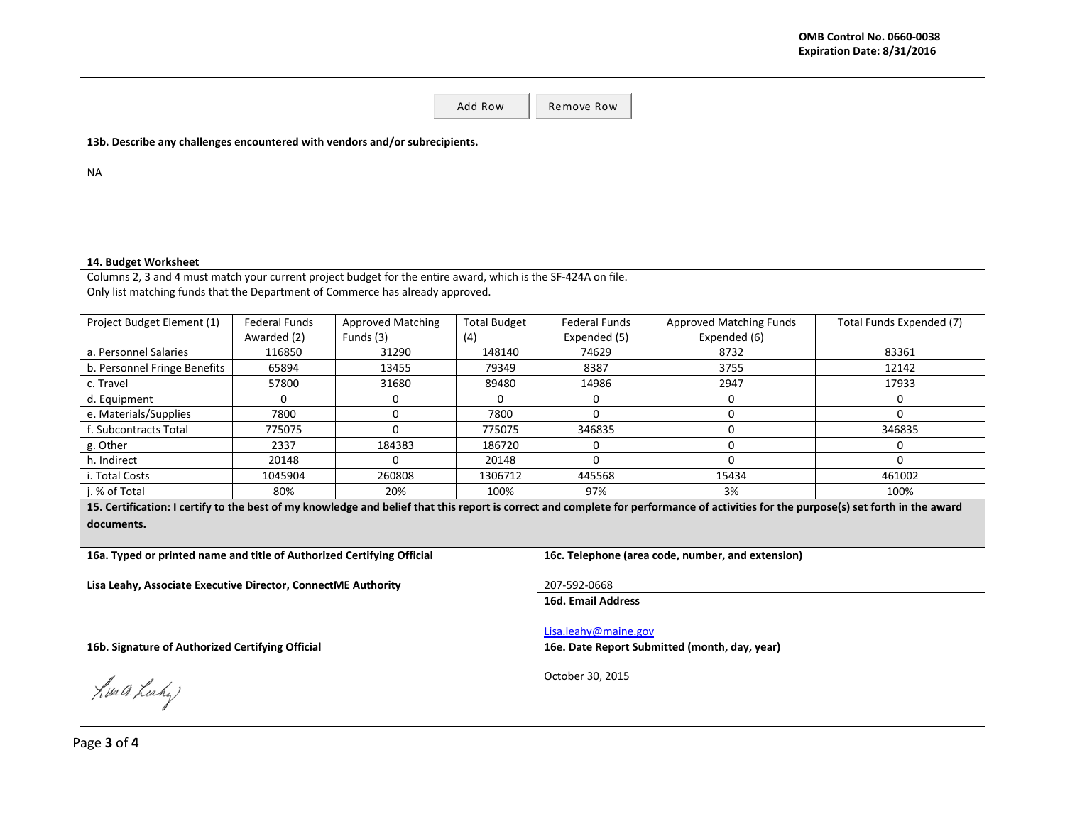|                                                                                                               |               |                          | Add Row              | Remove Row                                        |                                                                                                                                                                                      |                          |  |  |  |  |  |
|---------------------------------------------------------------------------------------------------------------|---------------|--------------------------|----------------------|---------------------------------------------------|--------------------------------------------------------------------------------------------------------------------------------------------------------------------------------------|--------------------------|--|--|--|--|--|
| 13b. Describe any challenges encountered with vendors and/or subrecipients.                                   |               |                          |                      |                                                   |                                                                                                                                                                                      |                          |  |  |  |  |  |
| NA                                                                                                            |               |                          |                      |                                                   |                                                                                                                                                                                      |                          |  |  |  |  |  |
|                                                                                                               |               |                          |                      |                                                   |                                                                                                                                                                                      |                          |  |  |  |  |  |
|                                                                                                               |               |                          |                      |                                                   |                                                                                                                                                                                      |                          |  |  |  |  |  |
|                                                                                                               |               |                          |                      |                                                   |                                                                                                                                                                                      |                          |  |  |  |  |  |
|                                                                                                               |               |                          |                      |                                                   |                                                                                                                                                                                      |                          |  |  |  |  |  |
| 14. Budget Worksheet                                                                                          |               |                          |                      |                                                   |                                                                                                                                                                                      |                          |  |  |  |  |  |
| Columns 2, 3 and 4 must match your current project budget for the entire award, which is the SF-424A on file. |               |                          |                      |                                                   |                                                                                                                                                                                      |                          |  |  |  |  |  |
| Only list matching funds that the Department of Commerce has already approved.                                |               |                          |                      |                                                   |                                                                                                                                                                                      |                          |  |  |  |  |  |
| Project Budget Element (1)                                                                                    | Federal Funds | <b>Approved Matching</b> | <b>Total Budget</b>  | <b>Federal Funds</b>                              | <b>Approved Matching Funds</b>                                                                                                                                                       | Total Funds Expended (7) |  |  |  |  |  |
|                                                                                                               | Awarded (2)   | Funds (3)                | (4)                  | Expended (5)                                      | Expended (6)                                                                                                                                                                         |                          |  |  |  |  |  |
| a. Personnel Salaries                                                                                         | 116850        | 31290                    | 148140               | 74629                                             | 8732                                                                                                                                                                                 | 83361                    |  |  |  |  |  |
| b. Personnel Fringe Benefits                                                                                  | 65894         | 13455                    | 79349                | 8387                                              | 3755                                                                                                                                                                                 | 12142                    |  |  |  |  |  |
| c. Travel                                                                                                     | 57800         | 31680                    | 89480                | 14986                                             | 2947                                                                                                                                                                                 | 17933                    |  |  |  |  |  |
| d. Equipment                                                                                                  | $\Omega$      | $\Omega$                 | $\Omega$             | $\Omega$                                          | $\Omega$                                                                                                                                                                             | $\Omega$                 |  |  |  |  |  |
| e. Materials/Supplies                                                                                         | 7800          | $\Omega$                 | 7800                 | $\Omega$                                          | $\Omega$                                                                                                                                                                             | $\Omega$                 |  |  |  |  |  |
| f. Subcontracts Total                                                                                         | 775075        | $\Omega$                 | 775075               | 346835                                            | $\Omega$                                                                                                                                                                             | 346835                   |  |  |  |  |  |
| g. Other                                                                                                      | 2337          | 184383                   | 186720               | $\mathbf 0$                                       | $\Omega$                                                                                                                                                                             | 0                        |  |  |  |  |  |
| h. Indirect                                                                                                   | 20148         | $\mathbf{0}$             | 20148                | $\mathbf 0$                                       | $\Omega$                                                                                                                                                                             | $\Omega$                 |  |  |  |  |  |
| i. Total Costs                                                                                                | 1045904       | 260808                   | 1306712              | 445568                                            | 15434                                                                                                                                                                                | 461002                   |  |  |  |  |  |
| i. % of Total                                                                                                 | 80%           | 20%                      | 100%                 | 97%                                               | 3%                                                                                                                                                                                   | 100%                     |  |  |  |  |  |
|                                                                                                               |               |                          |                      |                                                   | 15. Certification: I certify to the best of my knowledge and belief that this report is correct and complete for performance of activities for the purpose(s) set forth in the award |                          |  |  |  |  |  |
| documents.                                                                                                    |               |                          |                      |                                                   |                                                                                                                                                                                      |                          |  |  |  |  |  |
|                                                                                                               |               |                          |                      |                                                   |                                                                                                                                                                                      |                          |  |  |  |  |  |
| 16a. Typed or printed name and title of Authorized Certifying Official                                        |               |                          |                      | 16c. Telephone (area code, number, and extension) |                                                                                                                                                                                      |                          |  |  |  |  |  |
| Lisa Leahy, Associate Executive Director, ConnectME Authority                                                 |               |                          |                      | 207-592-0668                                      |                                                                                                                                                                                      |                          |  |  |  |  |  |
|                                                                                                               |               |                          |                      | 16d. Email Address                                |                                                                                                                                                                                      |                          |  |  |  |  |  |
|                                                                                                               |               |                          |                      |                                                   |                                                                                                                                                                                      |                          |  |  |  |  |  |
|                                                                                                               |               |                          | Lisa.leahy@maine.gov |                                                   |                                                                                                                                                                                      |                          |  |  |  |  |  |
| 16b. Signature of Authorized Certifying Official                                                              |               |                          |                      | 16e. Date Report Submitted (month, day, year)     |                                                                                                                                                                                      |                          |  |  |  |  |  |
|                                                                                                               |               |                          |                      |                                                   |                                                                                                                                                                                      |                          |  |  |  |  |  |
|                                                                                                               |               |                          | October 30, 2015     |                                                   |                                                                                                                                                                                      |                          |  |  |  |  |  |
| Kua a Leahy                                                                                                   |               |                          |                      |                                                   |                                                                                                                                                                                      |                          |  |  |  |  |  |
|                                                                                                               |               |                          |                      |                                                   |                                                                                                                                                                                      |                          |  |  |  |  |  |